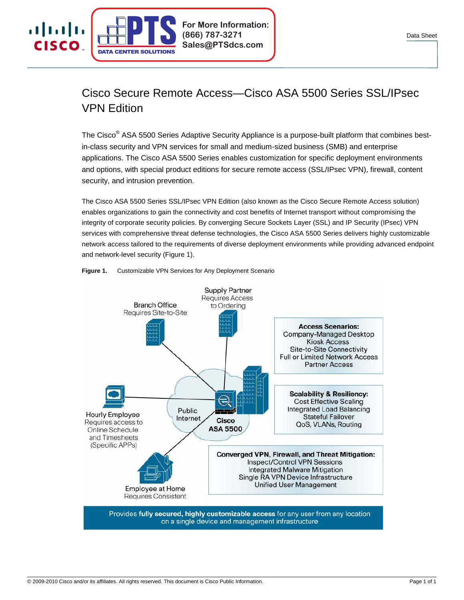

# Cisco Secure Remote Access—Cisco ASA 5500 Series SSL/IPsec VPN Edition

The Cisco<sup>®</sup> ASA 5500 Series Adaptive Security Appliance is a purpose-built platform that combines bestin-class security and VPN services for small and medium-sized business (SMB) and enterprise applications. The Cisco ASA 5500 Series enables customization for specific deployment environments and options, with special product editions for secure remote access (SSL/IPsec VPN), firewall, content security, and intrusion prevention.

The Cisco ASA 5500 Series SSL/IPsec VPN Edition (also known as the Cisco Secure Remote Access solution) enables organizations to gain the connectivity and cost benefits of Internet transport without compromising the integrity of corporate security policies. By converging Secure Sockets Layer (SSL) and IP Security (IPsec) VPN services with comprehensive threat defense technologies, the Cisco ASA 5500 Series delivers highly customizable network access tailored to the requirements of diverse deployment environments while providing advanced endpoint and network-level security (Figure 1).



# **Figure 1.** Customizable VPN Services for Any Deployment Scenario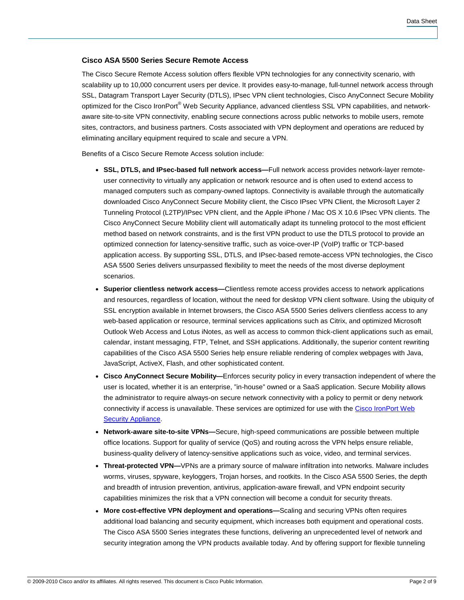# **Cisco ASA 5500 Series Secure Remote Access**

The Cisco Secure Remote Access solution offers flexible VPN technologies for any connectivity scenario, with scalability up to 10,000 concurrent users per device. It provides easy-to-manage, full-tunnel network access through SSL, Datagram Transport Layer Security (DTLS), IPsec VPN client technologies, Cisco AnyConnect Secure Mobility optimized for the Cisco IronPort® Web Security Appliance, advanced clientless SSL VPN capabilities, and networkaware site-to-site VPN connectivity, enabling secure connections across public networks to mobile users, remote sites, contractors, and business partners. Costs associated with VPN deployment and operations are reduced by eliminating ancillary equipment required to scale and secure a VPN.

Benefits of a Cisco Secure Remote Access solution include:

- **SSL, DTLS, and IPsec-based full network access—**Full network access provides network-layer remoteuser connectivity to virtually any application or network resource and is often used to extend access to managed computers such as company-owned laptops. Connectivity is available through the automatically downloaded Cisco AnyConnect Secure Mobility client, the Cisco IPsec VPN Client, the Microsoft Layer 2 Tunneling Protocol (L2TP)/IPsec VPN client, and the Apple iPhone / Mac OS X 10.6 IPsec VPN clients. The Cisco AnyConnect Secure Mobility client will automatically adapt its tunneling protocol to the most efficient method based on network constraints, and is the first VPN product to use the DTLS protocol to provide an optimized connection for latency-sensitive traffic, such as voice-over-IP (VoIP) traffic or TCP-based application access. By supporting SSL, DTLS, and IPsec-based remote-access VPN technologies, the Cisco ASA 5500 Series delivers unsurpassed flexibility to meet the needs of the most diverse deployment scenarios.
- **Superior clientless network access—**Clientless remote access provides access to network applications and resources, regardless of location, without the need for desktop VPN client software. Using the ubiquity of SSL encryption available in Internet browsers, the Cisco ASA 5500 Series delivers clientless access to any web-based application or resource, terminal services applications such as Citrix, and optimized Microsoft Outlook Web Access and Lotus iNotes, as well as access to common thick-client applications such as email, calendar, instant messaging, FTP, Telnet, and SSH applications. Additionally, the superior content rewriting capabilities of the Cisco ASA 5500 Series help ensure reliable rendering of complex webpages with Java, JavaScript, ActiveX, Flash, and other sophisticated content.
- **Cisco AnyConnect Secure Mobility—**Enforces security policy in every transaction independent of where the user is located, whether it is an enterprise, "in-house" owned or a SaaS application. Secure Mobility allows the administrator to require always-on secure network connectivity with a policy to permit or deny network connectivity if access is unavailable. These services are optimized for use with the [Cisco IronPort Web](http://www.cisco.com/go/wsa)  [Security Appliance.](http://www.cisco.com/go/wsa)
- **Network-aware site-to-site VPNs—**Secure, high-speed communications are possible between multiple office locations. Support for quality of service (QoS) and routing across the VPN helps ensure reliable, business-quality delivery of latency-sensitive applications such as voice, video, and terminal services.
- **Threat-protected VPN—**VPNs are a primary source of malware infiltration into networks. Malware includes worms, viruses, spyware, keyloggers, Trojan horses, and rootkits. In the Cisco ASA 5500 Series, the depth and breadth of intrusion prevention, antivirus, application-aware firewall, and VPN endpoint security capabilities minimizes the risk that a VPN connection will become a conduit for security threats.
- More cost-effective VPN deployment and operations—Scaling and securing VPNs often requires additional load balancing and security equipment, which increases both equipment and operational costs. The Cisco ASA 5500 Series integrates these functions, delivering an unprecedented level of network and security integration among the VPN products available today. And by offering support for flexible tunneling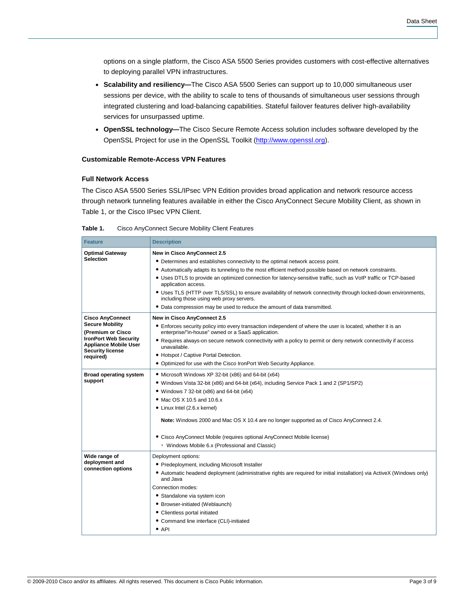options on a single platform, the Cisco ASA 5500 Series provides customers with cost-effective alternatives to deploying parallel VPN infrastructures.

- **Scalability and resiliency—**The Cisco ASA 5500 Series can support up to 10,000 simultaneous user sessions per device, with the ability to scale to tens of thousands of simultaneous user sessions through integrated clustering and load-balancing capabilities. Stateful failover features deliver high-availability services for unsurpassed uptime.
- **OpenSSL technology—**The Cisco Secure Remote Access solution includes software developed by the OpenSSL Project for use in the OpenSSL Toolkit ([http://www.openssl.org\)](http://www.openssl.org/).

# **Customizable Remote-Access VPN Features**

# **Full Network Access**

The Cisco ASA 5500 Series SSL/IPsec VPN Edition provides broad application and network resource access through network tunneling features available in either the Cisco AnyConnect Secure Mobility Client, as shown in Table 1, or the Cisco IPsec VPN Client.

| <b>Feature</b>                                                                          | <b>Description</b>                                                                                                                                                 |
|-----------------------------------------------------------------------------------------|--------------------------------------------------------------------------------------------------------------------------------------------------------------------|
| <b>Optimal Gateway</b>                                                                  | New in Cisco AnyConnect 2.5                                                                                                                                        |
| <b>Selection</b>                                                                        | • Determines and establishes connectivity to the optimal network access point.                                                                                     |
|                                                                                         | • Automatically adapts its tunneling to the most efficient method possible based on network constraints.                                                           |
|                                                                                         | • Uses DTLS to provide an optimized connection for latency-sensitive traffic, such as VoIP traffic or TCP-based<br>application access.                             |
|                                                                                         | • Uses TLS (HTTP over TLS/SSL) to ensure availability of network connectivity through locked-down environments,<br>including those using web proxy servers.        |
|                                                                                         | • Data compression may be used to reduce the amount of data transmitted.                                                                                           |
| <b>Cisco AnyConnect</b>                                                                 | New in Cisco AnyConnect 2.5                                                                                                                                        |
| <b>Secure Mobility</b><br>(Premium or Cisco)                                            | • Enforces security policy into every transaction independent of where the user is located, whether it is an<br>enterprise/"in-house" owned or a SaaS application. |
| <b>IronPort Web Security</b><br><b>Appliance Mobile User</b><br><b>Security license</b> | • Requires always-on secure network connectivity with a policy to permit or deny network connectivity if access<br>unavailable.                                    |
| required)                                                                               | • Hotspot / Captive Portal Detection.                                                                                                                              |
|                                                                                         | Optimized for use with the Cisco IronPort Web Security Appliance.                                                                                                  |
| <b>Broad operating system</b><br>support                                                | • Microsoft Windows XP 32-bit (x86) and 64-bit (x64)                                                                                                               |
|                                                                                         | • Windows Vista 32-bit (x86) and 64-bit (x64), including Service Pack 1 and 2 (SP1/SP2)                                                                            |
|                                                                                         | • Windows 7 32-bit $(x86)$ and 64-bit $(x64)$                                                                                                                      |
|                                                                                         | • Mac OS X 10.5 and 10.6.x                                                                                                                                         |
|                                                                                         | • Linux Intel (2.6.x kernel)                                                                                                                                       |
|                                                                                         | Note: Windows 2000 and Mac OS X 10.4 are no longer supported as of Cisco AnyConnect 2.4.                                                                           |
|                                                                                         | • Cisco AnyConnect Mobile (requires optional AnyConnect Mobile license)                                                                                            |
|                                                                                         | <sup>o</sup> Windows Mobile 6.x (Professional and Classic)                                                                                                         |
| Wide range of                                                                           | Deployment options:                                                                                                                                                |
| deployment and                                                                          | • Predeployment, including Microsoft Installer                                                                                                                     |
| connection options                                                                      | • Automatic headend deployment (administrative rights are required for initial installation) via ActiveX (Windows only)<br>and Java                                |
|                                                                                         | Connection modes:                                                                                                                                                  |
|                                                                                         | • Standalone via system icon                                                                                                                                       |
|                                                                                         | • Browser-initiated (Weblaunch)                                                                                                                                    |
|                                                                                         | • Clientless portal initiated                                                                                                                                      |
|                                                                                         | • Command line interface (CLI)-initiated                                                                                                                           |
|                                                                                         | $\bullet$ API                                                                                                                                                      |

#### **Table 1.** Cisco AnyConnect Secure Mobility Client Features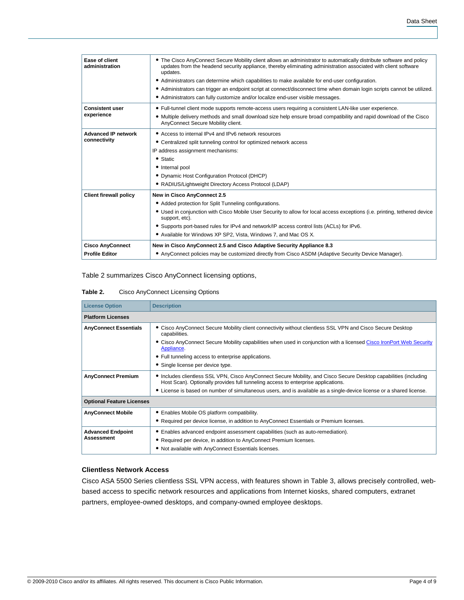| Ease of client<br>administration | • The Cisco AnyConnect Secure Mobility client allows an administrator to automatically distribute software and policy<br>updates from the headend security appliance, thereby eliminating administration associated with client software<br>updates.<br>• Administrators can determine which capabilities to make available for end-user configuration.<br>• Administrators can trigger an endpoint script at connect/disconnect time when domain login scripts cannot be utilized.<br>• Administrators can fully customize and/or localize end-user visible messages. |
|----------------------------------|------------------------------------------------------------------------------------------------------------------------------------------------------------------------------------------------------------------------------------------------------------------------------------------------------------------------------------------------------------------------------------------------------------------------------------------------------------------------------------------------------------------------------------------------------------------------|
| <b>Consistent user</b>           | • Full-tunnel client mode supports remote-access users requiring a consistent LAN-like user experience.                                                                                                                                                                                                                                                                                                                                                                                                                                                                |
| experience                       | • Multiple delivery methods and small download size help ensure broad compatibility and rapid download of the Cisco<br>AnyConnect Secure Mobility client.                                                                                                                                                                                                                                                                                                                                                                                                              |
| <b>Advanced IP network</b>       | • Access to internal IPv4 and IPv6 network resources                                                                                                                                                                                                                                                                                                                                                                                                                                                                                                                   |
| connectivity                     | • Centralized split tunneling control for optimized network access                                                                                                                                                                                                                                                                                                                                                                                                                                                                                                     |
|                                  | IP address assignment mechanisms:                                                                                                                                                                                                                                                                                                                                                                                                                                                                                                                                      |
|                                  | $\bullet$ Static                                                                                                                                                                                                                                                                                                                                                                                                                                                                                                                                                       |
|                                  | • Internal pool                                                                                                                                                                                                                                                                                                                                                                                                                                                                                                                                                        |
|                                  | • Dynamic Host Configuration Protocol (DHCP)                                                                                                                                                                                                                                                                                                                                                                                                                                                                                                                           |
|                                  | • RADIUS/Lightweight Directory Access Protocol (LDAP)                                                                                                                                                                                                                                                                                                                                                                                                                                                                                                                  |
| <b>Client firewall policy</b>    | New in Cisco AnyConnect 2.5                                                                                                                                                                                                                                                                                                                                                                                                                                                                                                                                            |
|                                  | • Added protection for Split Tunneling configurations.                                                                                                                                                                                                                                                                                                                                                                                                                                                                                                                 |
|                                  | • Used in conjunction with Cisco Mobile User Security to allow for local access exceptions (i.e. printing, tethered device<br>support, etc).                                                                                                                                                                                                                                                                                                                                                                                                                           |
|                                  | • Supports port-based rules for IPv4 and network/IP access control lists (ACLs) for IPv6.                                                                                                                                                                                                                                                                                                                                                                                                                                                                              |
|                                  | • Available for Windows XP SP2, Vista, Windows 7, and Mac OS X.                                                                                                                                                                                                                                                                                                                                                                                                                                                                                                        |
| <b>Cisco AnyConnect</b>          | New in Cisco AnyConnect 2.5 and Cisco Adaptive Security Appliance 8.3                                                                                                                                                                                                                                                                                                                                                                                                                                                                                                  |
| <b>Profile Editor</b>            | • AnyConnect policies may be customized directly from Cisco ASDM (Adaptive Security Device Manager).                                                                                                                                                                                                                                                                                                                                                                                                                                                                   |
|                                  |                                                                                                                                                                                                                                                                                                                                                                                                                                                                                                                                                                        |

# Table 2 summarizes Cisco AnyConnect licensing options,

### **Table 2.** Cisco AnyConnect Licensing Options

| <b>License Option</b>            | <b>Description</b>                                                                                                                                                                                   |  |  |  |  |
|----------------------------------|------------------------------------------------------------------------------------------------------------------------------------------------------------------------------------------------------|--|--|--|--|
| <b>Platform Licenses</b>         |                                                                                                                                                                                                      |  |  |  |  |
| <b>AnyConnect Essentials</b>     | • Cisco AnyConnect Secure Mobility client connectivity without clientless SSL VPN and Cisco Secure Desktop<br>capabilities.                                                                          |  |  |  |  |
|                                  | • Cisco AnyConnect Secure Mobility capabilities when used in conjunction with a licensed Cisco IronPort Web Security<br>Appliance.                                                                   |  |  |  |  |
|                                  | • Full tunneling access to enterprise applications.                                                                                                                                                  |  |  |  |  |
|                                  | • Single license per device type.                                                                                                                                                                    |  |  |  |  |
| <b>AnyConnect Premium</b>        | Includes clientless SSL VPN, Cisco AnyConnect Secure Mobility, and Cisco Secure Desktop capabilities (including<br>Host Scan). Optionally provides full tunneling access to enterprise applications. |  |  |  |  |
|                                  | • License is based on number of simultaneous users, and is available as a single-device license or a shared license.                                                                                 |  |  |  |  |
| <b>Optional Feature Licenses</b> |                                                                                                                                                                                                      |  |  |  |  |
| <b>AnyConnect Mobile</b>         | • Enables Mobile OS platform compatibility.                                                                                                                                                          |  |  |  |  |
|                                  | • Required per device license, in addition to AnyConnect Essentials or Premium licenses.                                                                                                             |  |  |  |  |
| <b>Advanced Endpoint</b>         | • Enables advanced endpoint assessment capabilities (such as auto-remediation).                                                                                                                      |  |  |  |  |
| <b>Assessment</b>                | • Required per device, in addition to AnyConnect Premium licenses.                                                                                                                                   |  |  |  |  |
|                                  | • Not available with AnyConnect Essentials licenses.                                                                                                                                                 |  |  |  |  |

# **Clientless Network Access**

Cisco ASA 5500 Series clientless SSL VPN access, with features shown in Table 3, allows precisely controlled, webbased access to specific network resources and applications from Internet kiosks, shared computers, extranet partners, employee-owned desktops, and company-owned employee desktops.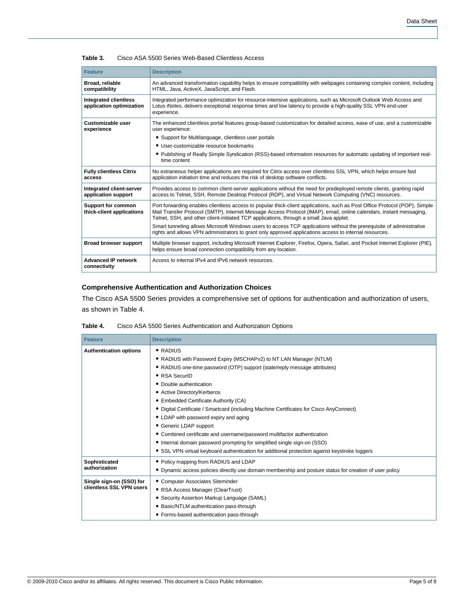|  | Table 3. |  |  | Cisco ASA 5500 Series Web-Based Clientless Access |  |  |
|--|----------|--|--|---------------------------------------------------|--|--|
|--|----------|--|--|---------------------------------------------------|--|--|

| <b>Feature</b>                                                                                                                                                                | <b>Description</b>                                                                                                                                                                                                                                                                                                                          |
|-------------------------------------------------------------------------------------------------------------------------------------------------------------------------------|---------------------------------------------------------------------------------------------------------------------------------------------------------------------------------------------------------------------------------------------------------------------------------------------------------------------------------------------|
| Broad, reliable<br>compatibility                                                                                                                                              | An advanced transformation capability helps to ensure compatibility with webpages containing complex content, including<br>HTML, Java, ActiveX, JavaScript, and Flash.                                                                                                                                                                      |
| <b>Integrated clientless</b><br>application optimization                                                                                                                      | Integrated performance optimization for resource-intensive applications, such as Microsoft Outlook Web Access and<br>Lotus iNotes, delivers exceptional response times and low latency to provide a high-quality SSL VPN end-user<br>experience.                                                                                            |
| Customizable user<br>The enhanced clientless portal features group-based customization for detailed access, ease of use, and a customizable<br>experience<br>user experience: |                                                                                                                                                                                                                                                                                                                                             |
|                                                                                                                                                                               | • Support for Multilanguage, clientless user portals                                                                                                                                                                                                                                                                                        |
|                                                                                                                                                                               | • User-customizable resource bookmarks                                                                                                                                                                                                                                                                                                      |
|                                                                                                                                                                               | • Publishing of Really Simple Syndication (RSS)-based information resources for automatic updating of important real-<br>time content                                                                                                                                                                                                       |
| <b>Fully clientless Citrix</b><br>access                                                                                                                                      | No extraneous helper applications are required for Citrix access over clientless SSL VPN, which helps ensure fast<br>application initiation time and reduces the risk of desktop software conflicts.                                                                                                                                        |
| Integrated client-server<br>application support                                                                                                                               | Provides access to common client-server applications without the need for predeployed remote clients, granting rapid<br>access to Telnet, SSH, Remote Desktop Protocol (RDP), and Virtual Network Computing (VNC) resources.                                                                                                                |
| Support for common<br>thick-client applications                                                                                                                               | Port forwarding enables clientless access to popular thick-client applications, such as Post Office Protocol (POP), Simple<br>Mail Transfer Protocol (SMTP), Internet Message Access Protocol (IMAP), email, online calendars, instant messaging,<br>Telnet, SSH, and other client-initiated TCP applications, through a small Java applet. |
|                                                                                                                                                                               | Smart tunneling allows Microsoft Windows users to access TCP applications without the prerequisite of administrative<br>rights and allows VPN administrators to grant only approved applications access to internal resources.                                                                                                              |
| Broad browser support                                                                                                                                                         | Multiple browser support, including Microsoft Internet Explorer, Firefox, Opera, Safari, and Pocket Internet Explorer (PIE),<br>helps ensure broad connection compatibility from any location.                                                                                                                                              |
| <b>Advanced IP network</b><br>connectivity                                                                                                                                    | Access to internal IPv4 and IPv6 network resources.                                                                                                                                                                                                                                                                                         |

# **Comprehensive Authentication and Authorization Choices**

The Cisco ASA 5500 Series provides a comprehensive set of options for authentication and authorization of users, as shown in Table 4.

| Table 4. | Cisco ASA 5500 Series Authentication and Authorization Options |  |
|----------|----------------------------------------------------------------|--|
|          |                                                                |  |

| <b>Feature</b>                                       | <b>Description</b>                                                                                                                                                                                                                                                                                                                                                                                                                                                                                                                                                                                                                                                                                           |
|------------------------------------------------------|--------------------------------------------------------------------------------------------------------------------------------------------------------------------------------------------------------------------------------------------------------------------------------------------------------------------------------------------------------------------------------------------------------------------------------------------------------------------------------------------------------------------------------------------------------------------------------------------------------------------------------------------------------------------------------------------------------------|
| <b>Authentication options</b>                        | $\bullet$ RADIUS<br>• RADIUS with Password Expiry (MSCHAPv2) to NT LAN Manager (NTLM)<br>• RADIUS one-time password (OTP) support (state/reply message attributes)<br>• RSA SecuriD<br>• Double authentication<br>• Active Directory/Kerberos<br>• Embedded Certificate Authority (CA)<br>• Digital Certificate / Smartcard (including Machine Certificates for Cisco AnyConnect)<br>• LDAP with password expiry and aging<br>• Generic LDAP support<br>• Combined certificate and username/password multifactor authentication<br>• Internal domain password prompting for simplified single sign-on (SSO)<br>• SSL VPN virtual keyboard authentication for additional protection against keystroke loggers |
| Sophisticated<br>authorization                       | • Policy mapping from RADIUS and LDAP<br>• Dynamic access policies directly use domain membership and posture status for creation of user policy                                                                                                                                                                                                                                                                                                                                                                                                                                                                                                                                                             |
| Single sign-on (SSO) for<br>clientless SSL VPN users | • Computer Associates Siteminder<br>• RSA Access Manager (ClearTrust)<br>• Security Assertion Markup Language (SAML)<br>• Basic/NTLM authentication pass-through<br>• Forms-based authentication pass-through                                                                                                                                                                                                                                                                                                                                                                                                                                                                                                |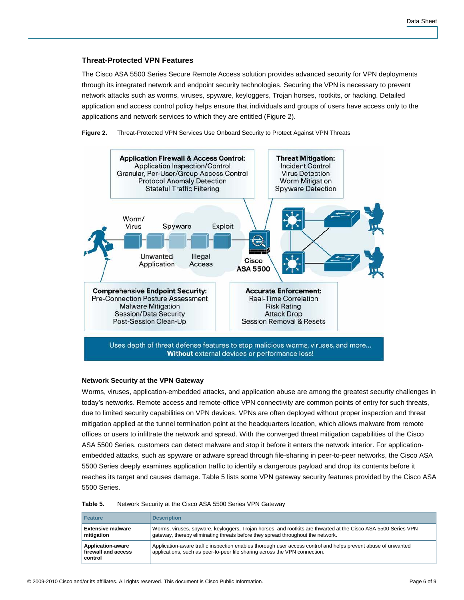# **Threat-Protected VPN Features**

The Cisco ASA 5500 Series Secure Remote Access solution provides advanced security for VPN deployments through its integrated network and endpoint security technologies. Securing the VPN is necessary to prevent network attacks such as worms, viruses, spyware, keyloggers, Trojan horses, rootkits, or hacking. Detailed application and access control policy helps ensure that individuals and groups of users have access only to the applications and network services to which they are entitled (Figure 2).

**Figure 2.** Threat-Protected VPN Services Use Onboard Security to Protect Against VPN Threats



# **Network Security at the VPN Gateway**

Worms, viruses, application-embedded attacks, and application abuse are among the greatest security challenges in today's networks. Remote access and remote-office VPN connectivity are common points of entry for such threats, due to limited security capabilities on VPN devices. VPNs are often deployed without proper inspection and threat mitigation applied at the tunnel termination point at the headquarters location, which allows malware from remote offices or users to infiltrate the network and spread. With the converged threat mitigation capabilities of the Cisco ASA 5500 Series, customers can detect malware and stop it before it enters the network interior. For applicationembedded attacks, such as spyware or adware spread through file-sharing in peer-to-peer networks, the Cisco ASA 5500 Series deeply examines application traffic to identify a dangerous payload and drop its contents before it reaches its target and causes damage. Table 5 lists some VPN gateway security features provided by the Cisco ASA 5500 Series.

| <b>Feature</b>                                             | <b>Description</b>                                                                                                                                                                                |
|------------------------------------------------------------|---------------------------------------------------------------------------------------------------------------------------------------------------------------------------------------------------|
| <b>Extensive malware</b><br>mitigation                     | Worms, viruses, spyware, keyloggers, Trojan horses, and rootkits are thwarted at the Cisco ASA 5500 Series VPN<br>gateway, thereby eliminating threats before they spread throughout the network. |
| <b>Application-aware</b><br>firewall and access<br>control | Application-aware traffic inspection enables thorough user access control and helps prevent abuse of unwanted<br>applications, such as peer-to-peer file sharing across the VPN connection.       |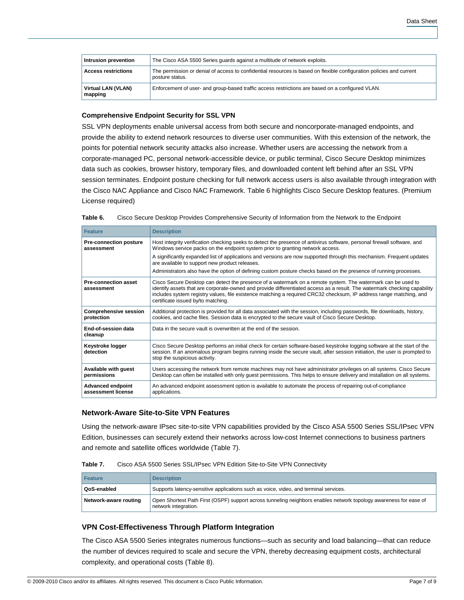| Intrusion prevention          | The Cisco ASA 5500 Series guards against a multitude of network exploits.                                                               |
|-------------------------------|-----------------------------------------------------------------------------------------------------------------------------------------|
| <b>Access restrictions</b>    | The permission or denial of access to confidential resources is based on flexible configuration policies and current<br>posture status. |
| Virtual LAN (VLAN)<br>mapping | Enforcement of user- and group-based traffic access restrictions are based on a configured VLAN.                                        |

#### **Comprehensive Endpoint Security for SSL VPN**

SSL VPN deployments enable universal access from both secure and noncorporate-managed endpoints, and provide the ability to extend network resources to diverse user communities. With this extension of the network, the points for potential network security attacks also increase. Whether users are accessing the network from a corporate-managed PC, personal network-accessible device, or public terminal, Cisco Secure Desktop minimizes data such as cookies, browser history, temporary files, and downloaded content left behind after an SSL VPN session terminates. Endpoint posture checking for full network access users is also available through integration with the Cisco NAC Appliance and Cisco NAC Framework. Table 6 highlights Cisco Secure Desktop features. (Premium License required)

|  | Table 6. | Cisco Secure Desktop Provides Comprehensive Security of Information from the Network to the Endpoint |  |
|--|----------|------------------------------------------------------------------------------------------------------|--|
|--|----------|------------------------------------------------------------------------------------------------------|--|

| <b>Feature</b>                                 | <b>Description</b>                                                                                                                                                                                                                                                                                                                                                                                    |  |
|------------------------------------------------|-------------------------------------------------------------------------------------------------------------------------------------------------------------------------------------------------------------------------------------------------------------------------------------------------------------------------------------------------------------------------------------------------------|--|
| <b>Pre-connection posture</b><br>assessment    | Host integrity verification checking seeks to detect the presence of antivirus software, personal firewall software, and<br>Windows service packs on the endpoint system prior to granting network access.                                                                                                                                                                                            |  |
|                                                | A significantly expanded list of applications and versions are now supported through this mechanism. Frequent updates<br>are available to support new product releases.                                                                                                                                                                                                                               |  |
|                                                | Administrators also have the option of defining custom posture checks based on the presence of running processes.                                                                                                                                                                                                                                                                                     |  |
| <b>Pre-connection asset</b><br>assessment      | Cisco Secure Desktop can detect the presence of a watermark on a remote system. The watermark can be used to<br>identify assets that are corporate-owned and provide differentiated access as a result. The watermark checking capability<br>includes system registry values, file existence matching a required CRC32 checksum, IP address range matching, and<br>certificate issued by/to matching. |  |
| <b>Comprehensive session</b><br>protection     | Additional protection is provided for all data associated with the session, including passwords, file downloads, history,<br>cookies, and cache files. Session data is encrypted to the secure vault of Cisco Secure Desktop.                                                                                                                                                                         |  |
| End-of-session data<br>cleanup                 | Data in the secure vault is overwritten at the end of the session.                                                                                                                                                                                                                                                                                                                                    |  |
| Keystroke logger<br>detection                  | Cisco Secure Desktop performs an initial check for certain software-based keystroke logging software at the start of the<br>session. If an anomalous program begins running inside the secure vault, after session initiation, the user is prompted to<br>stop the suspicious activity.                                                                                                               |  |
| Available with guest<br>permissions            | Users accessing the network from remote machines may not have administrator privileges on all systems. Cisco Secure<br>Desktop can often be installed with only guest permissions. This helps to ensure delivery and installation on all systems.                                                                                                                                                     |  |
| <b>Advanced endpoint</b><br>assessment license | An advanced endpoint assessment option is available to automate the process of repairing out-of-compliance<br>applications.                                                                                                                                                                                                                                                                           |  |

# **Network-Aware Site-to-Site VPN Features**

Using the network-aware IPsec site-to-site VPN capabilities provided by the Cisco ASA 5500 Series SSL/IPsec VPN Edition, businesses can securely extend their networks across low-cost Internet connections to business partners and remote and satellite offices worldwide (Table 7).

|  | Table 7. | Cisco ASA 5500 Series SSL/IPsec VPN Edition Site-to-Site VPN Connectivity |
|--|----------|---------------------------------------------------------------------------|
|--|----------|---------------------------------------------------------------------------|

| <b>Feature</b>        | <b>Description</b>                                                                                                                        |
|-----------------------|-------------------------------------------------------------------------------------------------------------------------------------------|
| QoS-enabled           | Supports latency-sensitive applications such as voice, video, and terminal services.                                                      |
| Network-aware routing | Open Shortest Path First (OSPF) support across tunneling neighbors enables network topology awareness for ease of<br>network integration. |

# **VPN Cost-Effectiveness Through Platform Integration**

The Cisco ASA 5500 Series integrates numerous functions—such as security and load balancing—that can reduce the number of devices required to scale and secure the VPN, thereby decreasing equipment costs, architectural complexity, and operational costs (Table 8).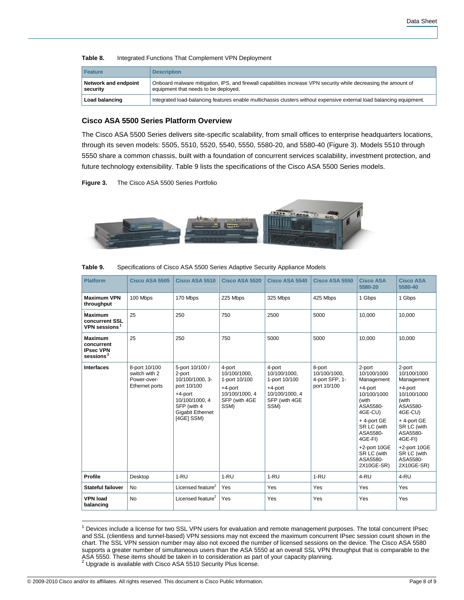#### **Table 8.** Integrated Functions That Complement VPN Deployment

| <b>Feature</b>                   | <b>Description</b>                                                                                                                                      |
|----------------------------------|---------------------------------------------------------------------------------------------------------------------------------------------------------|
| Network and endpoint<br>security | Onboard malware mitigation, IPS, and firewall capabilities increase VPN security while decreasing the amount of<br>equipment that needs to be deployed. |
| Load balancing                   | Integrated load-balancing features enable multichassis clusters without expensive external load balancing equipment.                                    |

# **Cisco ASA 5500 Series Platform Overview**

The Cisco ASA 5500 Series delivers site-specific scalability, from small offices to enterprise headquarters locations, through its seven models: 5505, 5510, 5520, 5540, 5550, 5580-20, and 5580-40 (Figure 3). Models 5510 through 5550 share a common chassis, built with a foundation of concurrent services scalability, investment protection, and future technology extensibility. Table 9 lists the specifications of the Cisco ASA 5500 Series models.

**Figure 3.** The Cisco ASA 5500 Series Portfolio



| Table 9. |  | Specifications of Cisco ASA 5500 Series Adaptive Security Appliance Models |
|----------|--|----------------------------------------------------------------------------|
|          |  |                                                                            |

| <b>Platform</b>                                                  | <b>Cisco ASA 5505</b>                                           | Cisco ASA 5510                                                                                                                                     | Cisco ASA 5520                                                                                | Cisco ASA 5540                                                                                | Cisco ASA 5550                                          | <b>Cisco ASA</b><br>5580-20                                                                                                                                                                                   | <b>Cisco ASA</b><br>5580-40                                                                                                                                                                                |
|------------------------------------------------------------------|-----------------------------------------------------------------|----------------------------------------------------------------------------------------------------------------------------------------------------|-----------------------------------------------------------------------------------------------|-----------------------------------------------------------------------------------------------|---------------------------------------------------------|---------------------------------------------------------------------------------------------------------------------------------------------------------------------------------------------------------------|------------------------------------------------------------------------------------------------------------------------------------------------------------------------------------------------------------|
| <b>Maximum VPN</b><br>throughput                                 | 100 Mbps                                                        | 170 Mbps                                                                                                                                           | 225 Mbps                                                                                      | 325 Mbps                                                                                      | 425 Mbps                                                | 1 Gbps                                                                                                                                                                                                        | 1 Gbps                                                                                                                                                                                                     |
| <b>Maximum</b><br>concurrent SSL<br>VPN sessions <sup>1</sup>    | 25                                                              | 250                                                                                                                                                | 750                                                                                           | 2500                                                                                          | 5000                                                    | 10,000                                                                                                                                                                                                        | 10,000                                                                                                                                                                                                     |
| <b>Maximum</b><br>concurrent<br><b>IPsec VPN</b><br>sessions $2$ | 25                                                              | 250                                                                                                                                                | 750                                                                                           | 5000                                                                                          | 5000                                                    | 10.000                                                                                                                                                                                                        | 10.000                                                                                                                                                                                                     |
| <b>Interfaces</b>                                                | 8-port 10/100<br>switch with 2<br>Power-over-<br>Ethernet ports | 5-port 10/100 /<br>2-port<br>10/100/1000.3-<br>port 10/100<br>$+4$ -port<br>10/100/1000, 4<br>SFP (with 4<br><b>Gigabit Ethernet</b><br>[4GE] SSM) | 4-port<br>10/100/1000.<br>1-port 10/100<br>+4-port<br>10/100/1000, 4<br>SFP (with 4GE<br>SSM) | 4-port<br>10/100/1000.<br>1-port 10/100<br>+4-port<br>10/100/1000, 4<br>SFP (with 4GE<br>SSM) | 8-port<br>10/100/1000,<br>4-port SFP, 1-<br>port 10/100 | 2-port<br>10/100/1000<br>Management<br>$+4$ -port<br>10/100/1000<br>(with<br>ASA5580-<br>4GE-CU)<br>+4-port GE<br>SR LC (with<br>ASA5580-<br>4GE-FI)<br>+2-port 10GE<br>SR LC (with<br>ASA5580-<br>2X10GE-SR) | 2-port<br>10/100/1000<br>Management<br>+4-port<br>10/100/1000<br>(with<br>ASA5580-<br>4GE-CU)<br>+4-port GE<br>SR LC (with<br>ASA5580-<br>4GE-FI)<br>+2-port 10GE<br>SR LC (with<br>ASA5580-<br>2X10GE-SR) |
| Profile                                                          | Desktop                                                         | $1 - RU$                                                                                                                                           | $1-RU$                                                                                        | $1 - RU$                                                                                      | $1 - RU$                                                | 4-RU                                                                                                                                                                                                          | 4-RU                                                                                                                                                                                                       |
| <b>Stateful failover</b>                                         | <b>No</b>                                                       | Licensed feature <sup>2</sup>                                                                                                                      | Yes                                                                                           | Yes                                                                                           | Yes                                                     | Yes                                                                                                                                                                                                           | Yes                                                                                                                                                                                                        |
| <b>VPN load</b><br>balancing                                     | <b>No</b>                                                       | Licensed feature <sup>2</sup>                                                                                                                      | Yes                                                                                           | Yes                                                                                           | Yes                                                     | Yes                                                                                                                                                                                                           | Yes                                                                                                                                                                                                        |

 $\overline{\phantom{a}}$ <sup>1</sup> Devices include a license for two SSL VPN users for evaluation and remote management purposes. The total concurrent IPsec and SSL (clientless and tunnel-based) VPN sessions may not exceed the maximum concurrent IPsec session count shown in the chart. The SSL VPN session number may also not exceed the number of licensed sessions on the device. The Cisco ASA 5580 supports a greater number of simultaneous users than the ASA 5550 at an overall SSL VPN throughput that is comparable to the ASA 5550. These items should be taken in to consideration as part of your capacity planning.<br><sup>2</sup> Upgrade is available with Cisco ASA 5510 Security Plus license.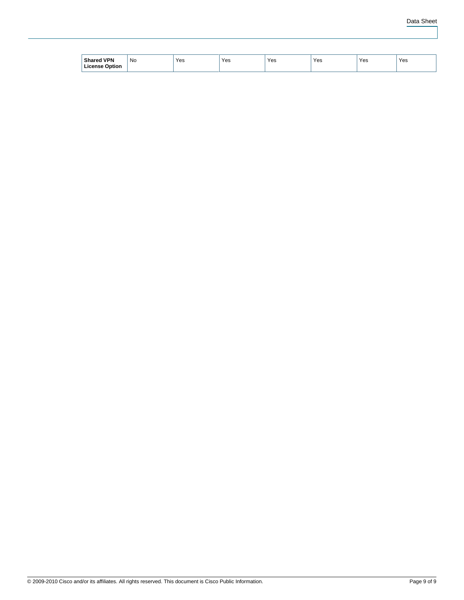| <b>I VPN</b><br><b>Charo</b><br>Option | No<br>$\sim$ | Yes<br>. | Yes<br>__ | Yes | Yes | $\ddot{\phantom{1}}$<br>Yes | Yes |
|----------------------------------------|--------------|----------|-----------|-----|-----|-----------------------------|-----|